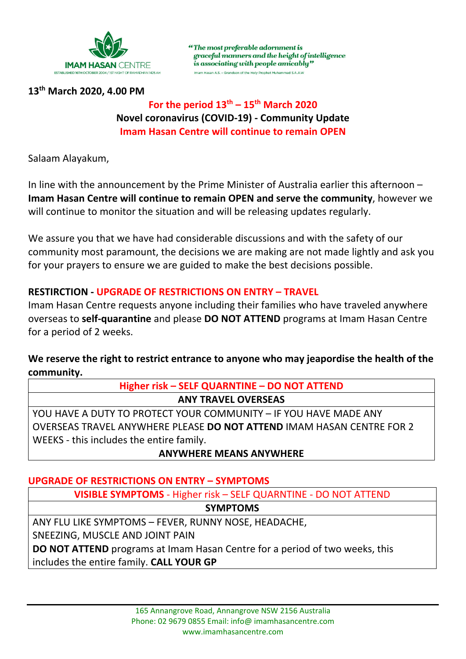

**13th March 2020, 4.00 PM**

## **For the period**  $13^{th} - 15^{th}$  **March 2020 Novel coronavirus (COVID‐19) ‐ Community Update Imam Hasan Centre will continue to remain OPEN**

"The most preferable adornment is

is associating with people amicably"

Imam Hasan A.S. - Grandson of the Holy Prophet Muhammad S.A.A.W

graceful manners and the height of intelligence

Salaam Alayakum,

In line with the announcement by the Prime Minister of Australia earlier this afternoon – **Imam Hasan Centre will continue to remain OPEN and serve the community**, however we will continue to monitor the situation and will be releasing updates regularly.

We assure you that we have had considerable discussions and with the safety of our community most paramount, the decisions we are making are not made lightly and ask you for your prayers to ensure we are guided to make the best decisions possible.

#### **RESTIRCTION ‐ UPGRADE OF RESTRICTIONS ON ENTRY – TRAVEL**

Imam Hasan Centre requests anyone including their families who have traveled anywhere overseas to **self‐quarantine** and please **DO NOT ATTEND** programs at Imam Hasan Centre for a period of 2 weeks.

**We reserve the right to restrict entrance to anyone who may jeapordise the health of the community.** 

## **Higher risk – SELF QUARNTINE – DO NOT ATTEND ANY TRAVEL OVERSEAS**

YOU HAVE A DUTY TO PROTECT YOUR COMMUNITY – IF YOU HAVE MADE ANY OVERSEAS TRAVEL ANYWHERE PLEASE **DO NOT ATTEND** IMAM HASAN CENTRE FOR 2 WEEKS ‐ this includes the entire family.

## **ANYWHERE MEANS ANYWHERE**

## **UPGRADE OF RESTRICTIONS ON ENTRY – SYMPTOMS**

**VISIBLE SYMPTOMS** ‐ Higher risk – SELF QUARNTINE ‐ DO NOT ATTEND

**SYMPTOMS**

ANY FLU LIKE SYMPTOMS – FEVER, RUNNY NOSE, HEADACHE,

SNEEZING, MUSCLE AND JOINT PAIN

**DO NOT ATTEND** programs at Imam Hasan Centre for a period of two weeks, this includes the entire family. **CALL YOUR GP**